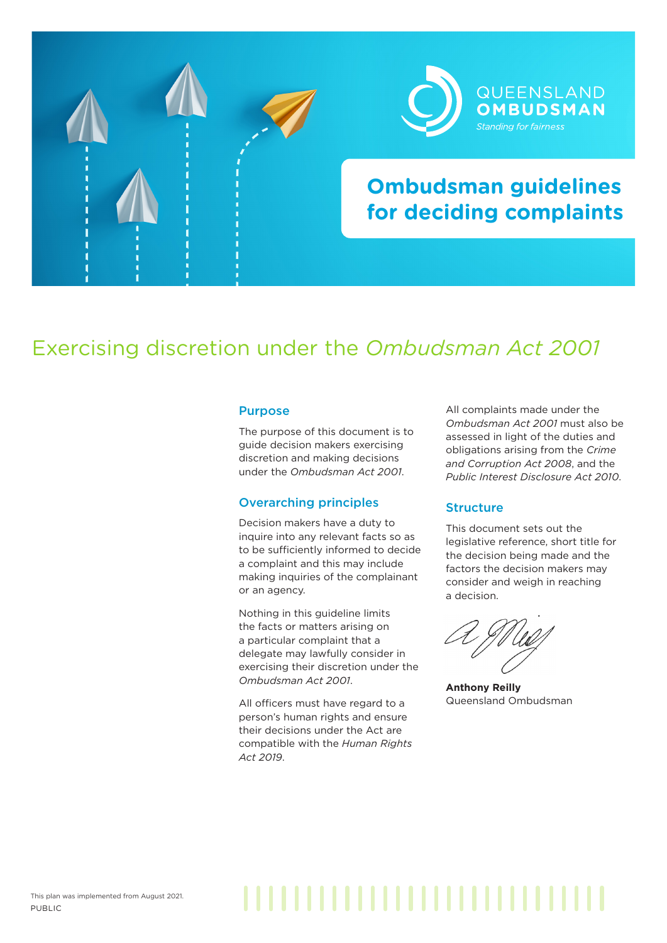



# **Ombudsman guidelines for deciding complaints**

## Exercising discretion under the *Ombudsman Act 2001*

#### Purpose

The purpose of this document is to guide decision makers exercising discretion and making decisions under the *Ombudsman Act 2001*.

### Overarching principles

Decision makers have a duty to inquire into any relevant facts so as to be sufficiently informed to decide a complaint and this may include making inquiries of the complainant or an agency.

Nothing in this guideline limits the facts or matters arising on a particular complaint that a delegate may lawfully consider in exercising their discretion under the *Ombudsman Act 2001*.

All officers must have regard to a person's human rights and ensure their decisions under the Act are compatible with the *Human Rights Act 2019*.

All complaints made under the *Ombudsman Act 2001* must also be assessed in light of the duties and obligations arising from the *Crime and Corruption Act 2008*, and the *Public Interest Disclosure Act 2010*.

## **Structure**

This document sets out the legislative reference, short title for the decision being made and the factors the decision makers may consider and weigh in reaching a decision.

**Anthony Reilly** Queensland Ombudsman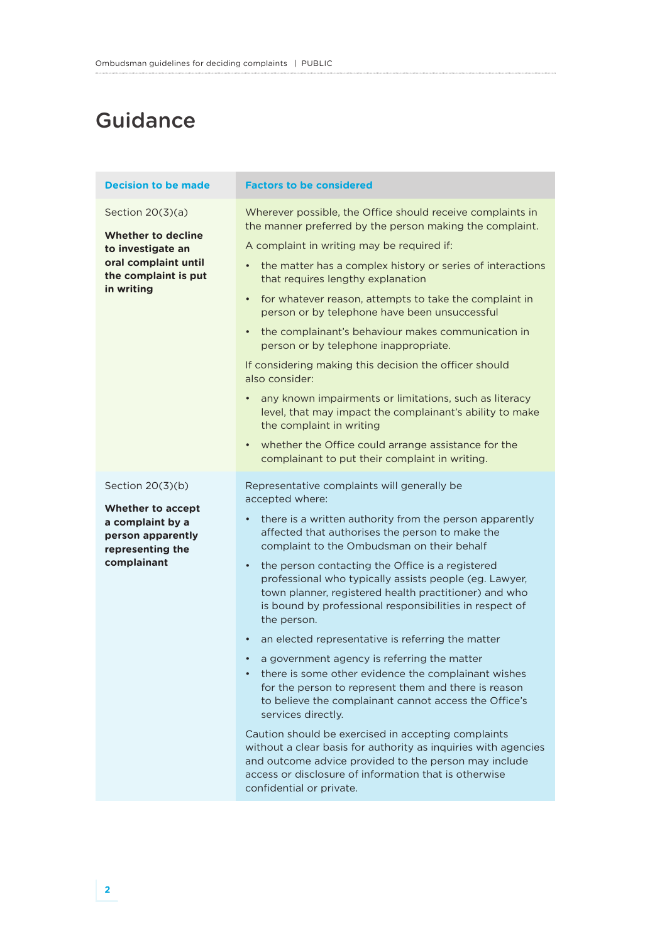# **Guidance**

| <b>Decision to be made</b>                                                                                                         | <b>Factors to be considered</b>                                                                                                                                                                                                                                                                                                                                                                                                                                                                                                                                                                                                                                                                                                                                                                                                                                                                                                                                                                                                                                                             |
|------------------------------------------------------------------------------------------------------------------------------------|---------------------------------------------------------------------------------------------------------------------------------------------------------------------------------------------------------------------------------------------------------------------------------------------------------------------------------------------------------------------------------------------------------------------------------------------------------------------------------------------------------------------------------------------------------------------------------------------------------------------------------------------------------------------------------------------------------------------------------------------------------------------------------------------------------------------------------------------------------------------------------------------------------------------------------------------------------------------------------------------------------------------------------------------------------------------------------------------|
| Section $20(3)(a)$<br><b>Whether to decline</b><br>to investigate an<br>oral complaint until<br>the complaint is put<br>in writing | Wherever possible, the Office should receive complaints in<br>the manner preferred by the person making the complaint.<br>A complaint in writing may be required if:<br>the matter has a complex history or series of interactions<br>that requires lengthy explanation<br>for whatever reason, attempts to take the complaint in<br>$\bullet$<br>person or by telephone have been unsuccessful<br>the complainant's behaviour makes communication in<br>$\bullet$<br>person or by telephone inappropriate.<br>If considering making this decision the officer should<br>also consider:<br>any known impairments or limitations, such as literacy<br>level, that may impact the complainant's ability to make<br>the complaint in writing<br>whether the Office could arrange assistance for the<br>$\bullet$<br>complainant to put their complaint in writing.                                                                                                                                                                                                                             |
| Section $20(3)(b)$<br><b>Whether to accept</b><br>a complaint by a<br>person apparently<br>representing the<br>complainant         | Representative complaints will generally be<br>accepted where:<br>there is a written authority from the person apparently<br>$\bullet$<br>affected that authorises the person to make the<br>complaint to the Ombudsman on their behalf<br>the person contacting the Office is a registered<br>$\bullet$<br>professional who typically assists people (eg. Lawyer,<br>town planner, registered health practitioner) and who<br>is bound by professional responsibilities in respect of<br>the person.<br>an elected representative is referring the matter<br>$\bullet$<br>a government agency is referring the matter<br>there is some other evidence the complainant wishes<br>for the person to represent them and there is reason<br>to believe the complainant cannot access the Office's<br>services directly.<br>Caution should be exercised in accepting complaints<br>without a clear basis for authority as inquiries with agencies<br>and outcome advice provided to the person may include<br>access or disclosure of information that is otherwise<br>confidential or private. |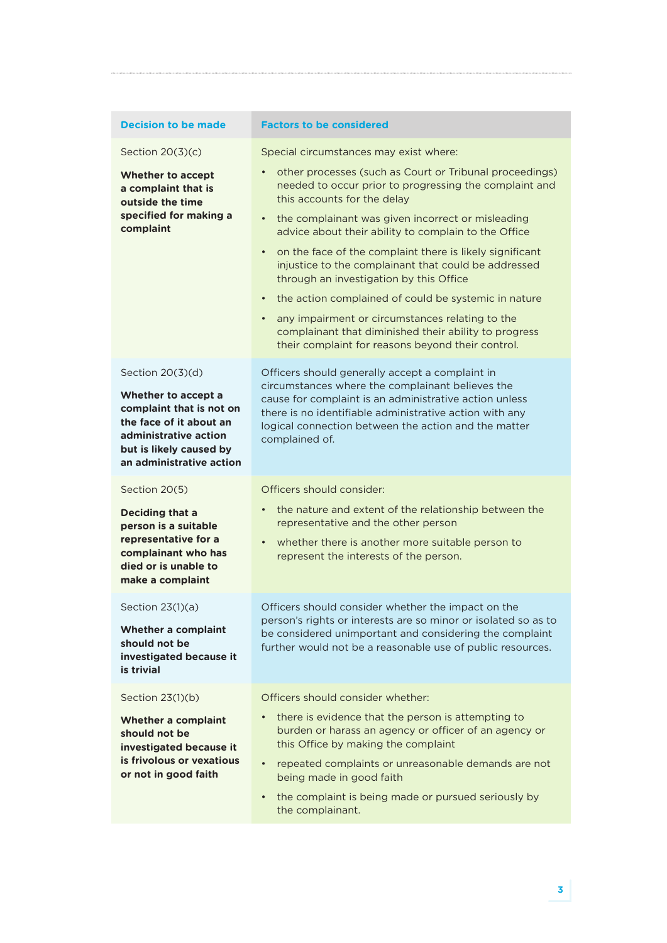| <b>Decision to be made</b>                                                                                                                                                     | <b>Factors to be considered</b>                                                                                                                                                                                                                                                                                                                                                                                                                                                                                                                                                                                                                                                                                        |
|--------------------------------------------------------------------------------------------------------------------------------------------------------------------------------|------------------------------------------------------------------------------------------------------------------------------------------------------------------------------------------------------------------------------------------------------------------------------------------------------------------------------------------------------------------------------------------------------------------------------------------------------------------------------------------------------------------------------------------------------------------------------------------------------------------------------------------------------------------------------------------------------------------------|
| Section $20(3)(c)$                                                                                                                                                             | Special circumstances may exist where:                                                                                                                                                                                                                                                                                                                                                                                                                                                                                                                                                                                                                                                                                 |
| <b>Whether to accept</b><br>a complaint that is<br>outside the time<br>specified for making a<br>complaint                                                                     | other processes (such as Court or Tribunal proceedings)<br>$\bullet$<br>needed to occur prior to progressing the complaint and<br>this accounts for the delay<br>the complainant was given incorrect or misleading<br>$\bullet$<br>advice about their ability to complain to the Office<br>on the face of the complaint there is likely significant<br>$\bullet$<br>injustice to the complainant that could be addressed<br>through an investigation by this Office<br>the action complained of could be systemic in nature<br>$\bullet$<br>any impairment or circumstances relating to the<br>$\bullet$<br>complainant that diminished their ability to progress<br>their complaint for reasons beyond their control. |
| Section 20(3)(d)<br>Whether to accept a<br>complaint that is not on<br>the face of it about an<br>administrative action<br>but is likely caused by<br>an administrative action | Officers should generally accept a complaint in<br>circumstances where the complainant believes the<br>cause for complaint is an administrative action unless<br>there is no identifiable administrative action with any<br>logical connection between the action and the matter<br>complained of.                                                                                                                                                                                                                                                                                                                                                                                                                     |
| Section 20(5)                                                                                                                                                                  | Officers should consider:                                                                                                                                                                                                                                                                                                                                                                                                                                                                                                                                                                                                                                                                                              |
| Deciding that a<br>person is a suitable<br>representative for a<br>complainant who has<br>died or is unable to<br>make a complaint                                             | the nature and extent of the relationship between the<br>$\bullet$<br>representative and the other person<br>whether there is another more suitable person to<br>$\bullet$<br>represent the interests of the person.                                                                                                                                                                                                                                                                                                                                                                                                                                                                                                   |
| Section 23(1)(a)<br><b>Whether a complaint</b><br>should not be<br>investigated because it<br>is trivial                                                                       | Officers should consider whether the impact on the<br>person's rights or interests are so minor or isolated so as to<br>be considered unimportant and considering the complaint<br>further would not be a reasonable use of public resources.                                                                                                                                                                                                                                                                                                                                                                                                                                                                          |
| Section 23(1)(b)                                                                                                                                                               | Officers should consider whether:                                                                                                                                                                                                                                                                                                                                                                                                                                                                                                                                                                                                                                                                                      |
| Whether a complaint<br>should not be<br>investigated because it<br>is frivolous or vexatious<br>or not in good faith                                                           | there is evidence that the person is attempting to<br>burden or harass an agency or officer of an agency or<br>this Office by making the complaint<br>repeated complaints or unreasonable demands are not<br>$\bullet$<br>being made in good faith<br>the complaint is being made or pursued seriously by<br>$\bullet$<br>the complainant.                                                                                                                                                                                                                                                                                                                                                                             |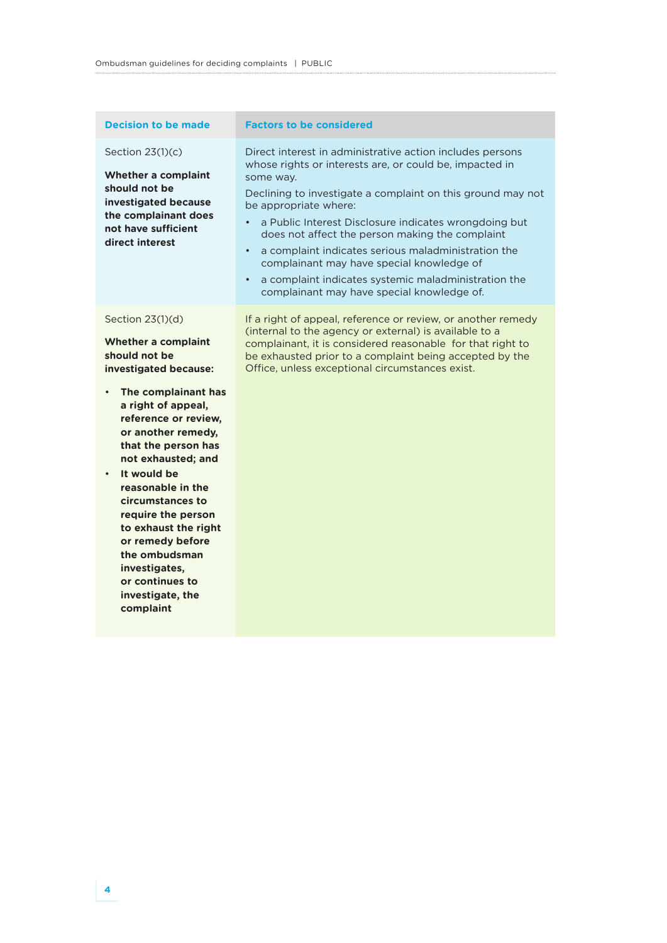#### Section 23(1)(c)

**Whether a complaint should not be investigated because the complainant does not have sufficient direct interest**

#### Section 23(1)(d)

**Whether a complaint should not be investigated because:**

- **The complainant has a right of appeal, reference or review, or another remedy, that the person has not exhausted; and**
- **It would be reasonable in the circumstances to require the person to exhaust the right or remedy before the ombudsman investigates, or continues to investigate, the complaint**

#### **Decision to be made Factors to be considered**

Direct interest in administrative action includes persons whose rights or interests are, or could be, impacted in some way.

Declining to investigate a complaint on this ground may not be appropriate where:

- a Public Interest Disclosure indicates wrongdoing but does not affect the person making the complaint
- a complaint indicates serious maladministration the complainant may have special knowledge of
- a complaint indicates systemic maladministration the complainant may have special knowledge of.

If a right of appeal, reference or review, or another remedy (internal to the agency or external) is available to a complainant, it is considered reasonable for that right to be exhausted prior to a complaint being accepted by the Office, unless exceptional circumstances exist.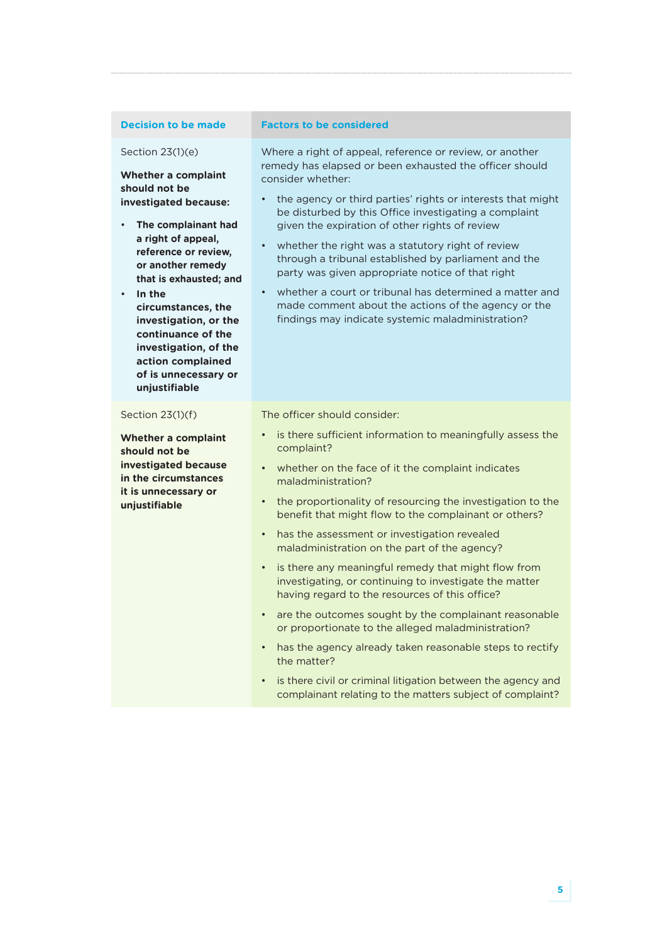**Whether a complaint** 

**investigated because:**

• **The complainant had a right of appeal, reference or review, or another remedy that is exhausted; and**

**circumstances, the investigation, or the continuance of the investigation, of the action complained of is unnecessary or** 

Section 23(1)(e)

**should not be** 

• **In the** 

#### **Decision to be made Factors to be considered**

Where a right of appeal, reference or review, or another remedy has elapsed or been exhausted the officer should consider whether:

- the agency or third parties' rights or interests that might be disturbed by this Office investigating a complaint given the expiration of other rights of review
- whether the right was a statutory right of review through a tribunal established by parliament and the party was given appropriate notice of that right
- whether a court or tribunal has determined a matter and made comment about the actions of the agency or the findings may indicate systemic maladministration?

complainant relating to the matters subject of complaint?

**unjustifiable** Section 23(1)(f) **Whether a complaint should not be investigated because in the circumstances it is unnecessary or unjustifiable** The officer should consider: • is there sufficient information to meaningfully assess the complaint? whether on the face of it the complaint indicates maladministration? • the proportionality of resourcing the investigation to the benefit that might flow to the complainant or others? • has the assessment or investigation revealed maladministration on the part of the agency? • is there any meaningful remedy that might flow from investigating, or continuing to investigate the matter having regard to the resources of this office? are the outcomes sought by the complainant reasonable or proportionate to the alleged maladministration? • has the agency already taken reasonable steps to rectify the matter? • is there civil or criminal litigation between the agency and